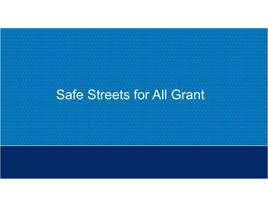# Safe Streets for All Grant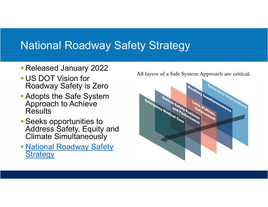#### National Roadway Safety Strategy

- Released January 2022<br>All layers of a Safe System Approach are critical.
- US DOT Vision for Roadway Safety is Zero
- **Adopts the Safe System** Approach to Achieve **Results**
- Seeks opportunities to Address Safety, Equity and Climate Simultaneously
- **National Roadway Safety Strategy**

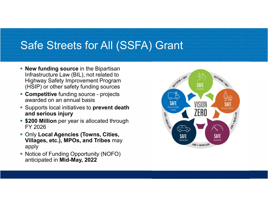#### Safe Streets for All (SSFA) Grant

- **New funding source** in the Bipartisan Infrastructure Law (BIL), not related to Highway Safety Improvement Program (HSIP) or other safety funding sources
- awarded on an annual basis
- **Supports local initiatives to prevent death** and serious injury
- **\$200 Million** per year is allocated through FY 2026
- **Only Local Agencies (Towns, Cities,** Villages, etc.), MPOs, and Tribes may apply
- Notice of Funding Opportunity (NOFO) anticipated in Mid-May, 2022

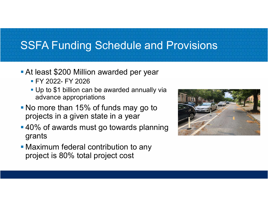#### SSFA Funding Schedule and Provisions

- At least \$200 Million awarded per year
	-
- SFA Funding Schedule and Pr<br>
t least \$200 Million awarded per year<br>• FY 2022- FY 2026<br>• Up to \$1 billion can be awarded annually via<br>
advance appropriations **Up to \$1 billion can be awarded annually via** advance appropriations
- No more than 15% of funds may go to projects in a given state in a year
- 40% of awards must go towards planning grants
- **Maximum federal contribution to any** project is 80% total project cost

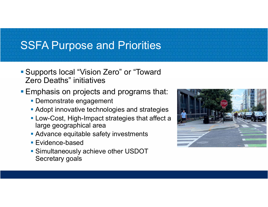## SSFA Purpose and Priorities

- Supports local "Vision Zero" or "Toward Zero Deaths" initiatives
- **Emphasis on projects and programs that:** 
	- **Demonstrate engagement**
	- **Adopt innovative technologies and strategies**
	- **Low-Cost, High-Impact strategies that affect a** large geographical area
	- **Advance equitable safety investments**
	- **Evidence-based**
	- **Simultaneously achieve other USDOT** Secretary goals

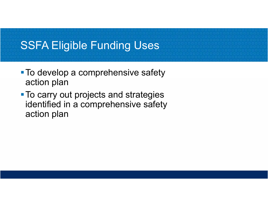

- **To develop a comprehensive safety** action plan
- **To carry out projects and strategies** identified in a comprehensive safety action plan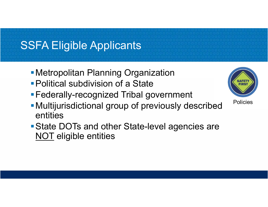# SSFA Eligible Applicants

- **Metropolitan Planning Organization**
- Political subdivision of a State
- Federally-recognized Tribal government
- Multijurisdictional group of previously described Policies entities Metropolitan Planning Organization<br>
Political subdivision of a State<br>
Federally-recognized Tribal gover<br>
Multijurisdictional group of previou<br>
entities<br>
State DOTs and other State-level<br>
NOT eligible entities
- State DOTs and other State-level agencies are

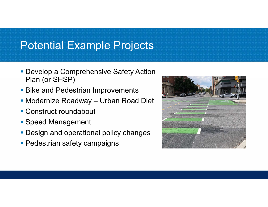# Potential Example Projects

- **Develop a Comprehensive Safety Action** Plan (or SHSP)
- **Bike and Pedestrian Improvements**
- 
- Construct roundabout
- **Speed Management**
- **Design and operational policy changes**
- **Pedestrian safety campaigns**